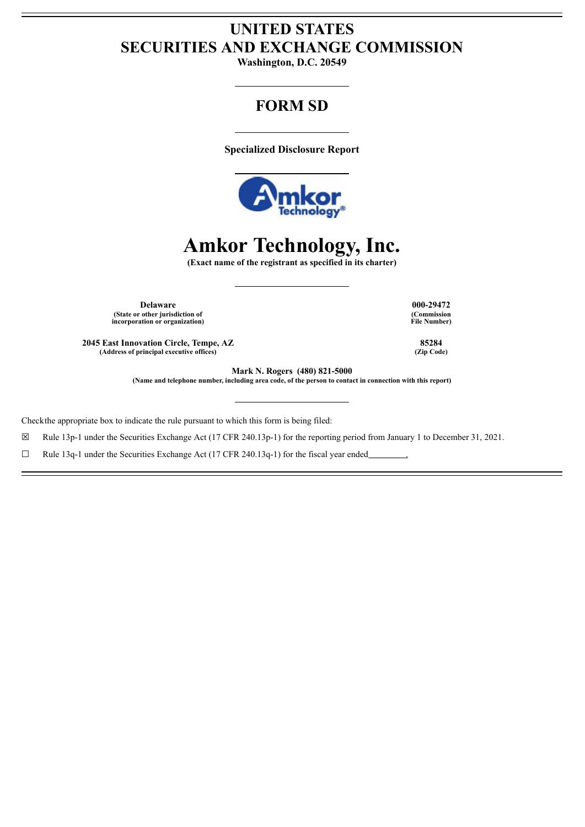## **UNITED STATES SECURITIES AND EXCHANGE COMMISSION**

**Washington, D.C. 20549**

# **FORM SD**

**Specialized Disclosure Report**



# **Amkor Technology, Inc.**

**(Exact name of the registrant as specified in its charter)**

**Delaware 000-29472 (State or other jurisdiction of incorporation or organization)**

**2045 East Innovation Circle, Tempe, AZ 85284 (Address of principal executive offices) (Zip Code)**

**(Commission File Number)**

**Mark N. Rogers (480) 821-5000**

**(Name and telephone number, including area code, of the person to contact in connection with this report)**

Checkthe appropriate box to indicate the rule pursuant to which this form is being filed:

☒ Rule 13p-1 under the Securities Exchange Act (17 CFR 240.13p-1) for the reporting period from January 1 to December 31, 2021.

 $\Box$  Rule 13q-1 under the Securities Exchange Act (17 CFR 240.13q-1) for the fiscal year ended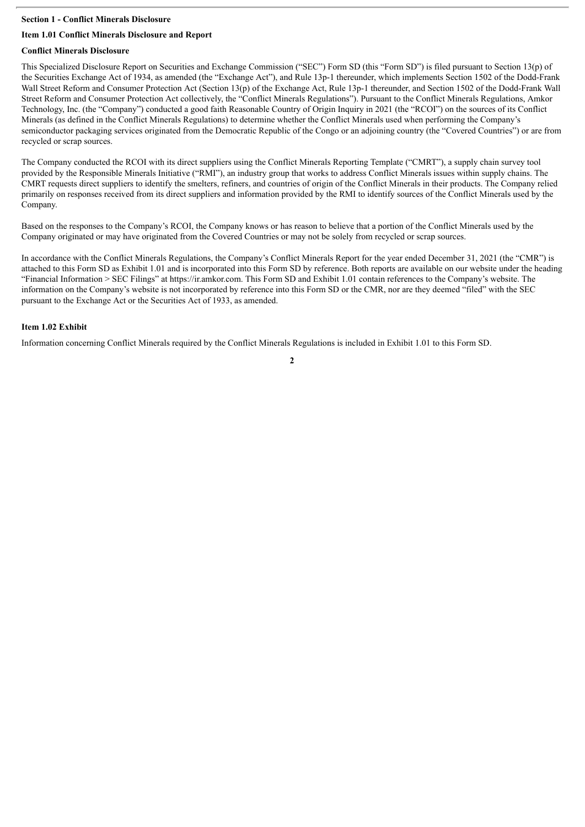#### **Section 1 - Conflict Minerals Disclosure**

#### **Item 1.01 Conflict Minerals Disclosure and Report**

#### **Conflict Minerals Disclosure**

This Specialized Disclosure Report on Securities and Exchange Commission ("SEC") Form SD (this "Form SD") is filed pursuant to Section 13(p) of the Securities Exchange Act of 1934, as amended (the "Exchange Act"), and Rule 13p-1 thereunder, which implements Section 1502 of the Dodd-Frank Wall Street Reform and Consumer Protection Act (Section 13(p) of the Exchange Act, Rule 13p-1 thereunder, and Section 1502 of the Dodd-Frank Wall Street Reform and Consumer Protection Act collectively, the "Conflict Minerals Regulations"). Pursuant to the Conflict Minerals Regulations, Amkor Technology, Inc. (the "Company") conducted a good faith Reasonable Country of Origin Inquiry in 2021 (the "RCOI") on the sources of its Conflict Minerals (as defined in the Conflict Minerals Regulations) to determine whether the Conflict Minerals used when performing the Company's semiconductor packaging services originated from the Democratic Republic of the Congo or an adjoining country (the "Covered Countries") or are from recycled or scrap sources.

The Company conducted the RCOI with its direct suppliers using the Conflict Minerals Reporting Template ("CMRT"), a supply chain survey tool provided by the Responsible Minerals Initiative ("RMI"), an industry group that works to address Conflict Minerals issues within supply chains. The CMRT requests direct suppliers to identify the smelters, refiners, and countries of origin of the Conflict Minerals in their products. The Company relied primarily on responses received from its direct suppliers and information provided by the RMI to identify sources of the Conflict Minerals used by the Company.

Based on the responses to the Company's RCOI, the Company knows or has reason to believe that a portion of the Conflict Minerals used by the Company originated or may have originated from the Covered Countries or may not be solely from recycled or scrap sources.

In accordance with the Conflict Minerals Regulations, the Company's Conflict Minerals Report for the year ended December 31, 2021 (the "CMR") is attached to this Form SD as Exhibit 1.01 and is incorporated into this Form SD by reference. Both reports are available on our website under the heading "Financial Information > SEC Filings" at https://ir.amkor.com. This Form SD and Exhibit 1.01 contain references to the Company's website. The information on the Company's website is not incorporated by reference into this Form SD or the CMR, nor are they deemed "filed" with the SEC pursuant to the Exchange Act or the Securities Act of 1933, as amended.

#### **Item 1.02 Exhibit**

Information concerning Conflict Minerals required by the Conflict Minerals Regulations is included in Exhibit 1.01 to this Form SD.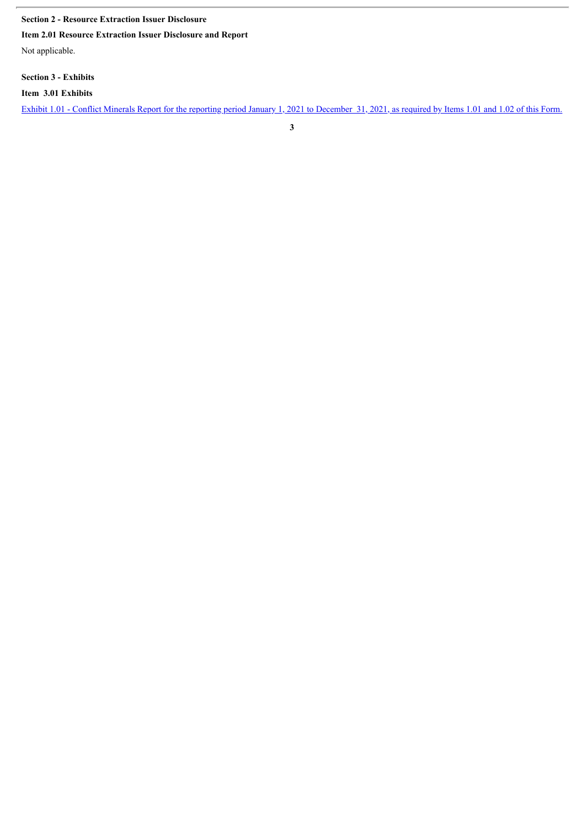#### **Section 2 - Resource Extraction Issuer Disclosure**

**Item 2.01 Resource Extraction Issuer Disclosure and Report**

Not applicable.

**Section 3 - Exhibits**

**Item 3.01 Exhibits**

Exhibit 1.01 - Conflict Minerals Report for the reporting period January 1, 2021 to [December](#page-4-0) 31, 2021, as required by Items 1.01 and 1.02 of this Form.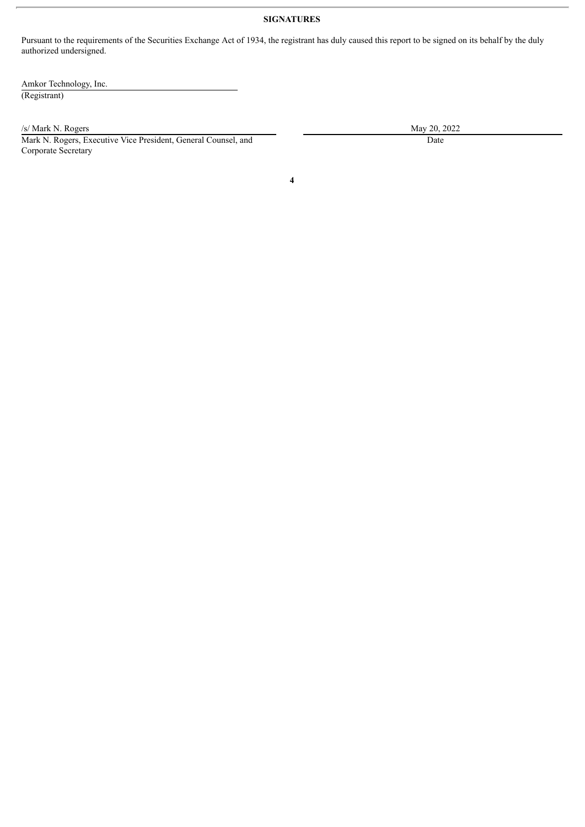#### **SIGNATURES**

Pursuant to the requirements of the Securities Exchange Act of 1934, the registrant has duly caused this report to be signed on its behalf by the duly authorized undersigned.

Amkor Technology, Inc. (Registrant)

/s/ Mark N. Rogers May 20, 2022

Mark N. Rogers, Executive Vice President, General Counsel, and Corporate Secretary

Date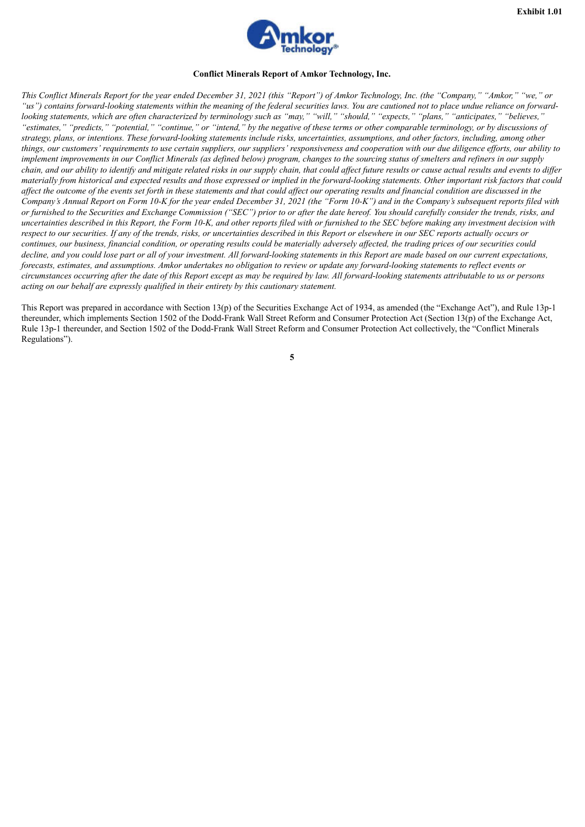

#### **Conflict Minerals Report of Amkor Technology, Inc.**

<span id="page-4-0"></span>This Conflict Minerals Report for the year ended December 31, 2021 (this "Report") of Amkor Technology, Inc. (the "Company," "Amkor," "we," or "us") contains forward-looking statements within the meaning of the federal securities laws. You are cautioned not to place undue reliance on forwardlooking statements, which are often characterized by terminology such as "may," "will," "should," "expects," "plans," "anticipates," "believes," "estimates," "predicts," "potential," "continue," or "intend," by the negative of these terms or other comparable terminology, or by discussions of strategy, plans, or intentions. These forward-looking statements include risks, uncertainties, assumptions, and other factors, including, among other things, our customers' requirements to use certain suppliers, our suppliers' responsiveness and cooperation with our due diligence efforts, our ability to implement improvements in our Conflict Minerals (as defined below) program, changes to the sourcing status of smelters and refiners in our supply chain, and our ability to identify and mitigate related risks in our supply chain, that could affect future results or cause actual results and events to differ materially from historical and expected results and those expressed or implied in the forward-looking statements. Other important risk factors that could affect the outcome of the events set forth in these statements and that could affect our operating results and financial condition are discussed in the Company's Annual Report on Form 10-K for the year ended December 31, 2021 (the "Form 10-K") and in the Company's subsequent reports filed with or furnished to the Securities and Exchange Commission ("SEC") prior to or after the date hereof. You should carefully consider the trends, risks, and uncertainties described in this Report, the Form 10-K, and other reports filed with or furnished to the SEC before making any investment decision with respect to our securities. If any of the trends, risks, or uncertainties described in this Report or elsewhere in our SEC reports actually occurs or continues, our business, financial condition, or operating results could be materially adversely affected, the trading prices of our securities could decline, and you could lose part or all of your investment. All forward-looking statements in this Report are made based on our current expectations. forecasts, estimates, and assumptions. Amkor undertakes no obligation to review or undate any forward-looking statements to reflect events or circumstances occurring after the date of this Report except as may be required by law. All forward-looking statements attributable to us or persons *acting on our behalf are expressly qualified in their entirety by this cautionary statement.*

This Report was prepared in accordance with Section 13(p) of the Securities Exchange Act of 1934, as amended (the "Exchange Act"), and Rule 13p-1 thereunder, which implements Section 1502 of the Dodd-Frank Wall Street Reform and Consumer Protection Act (Section 13(p) of the Exchange Act, Rule 13p-1 thereunder, and Section 1502 of the Dodd-Frank Wall Street Reform and Consumer Protection Act collectively, the "Conflict Minerals Regulations").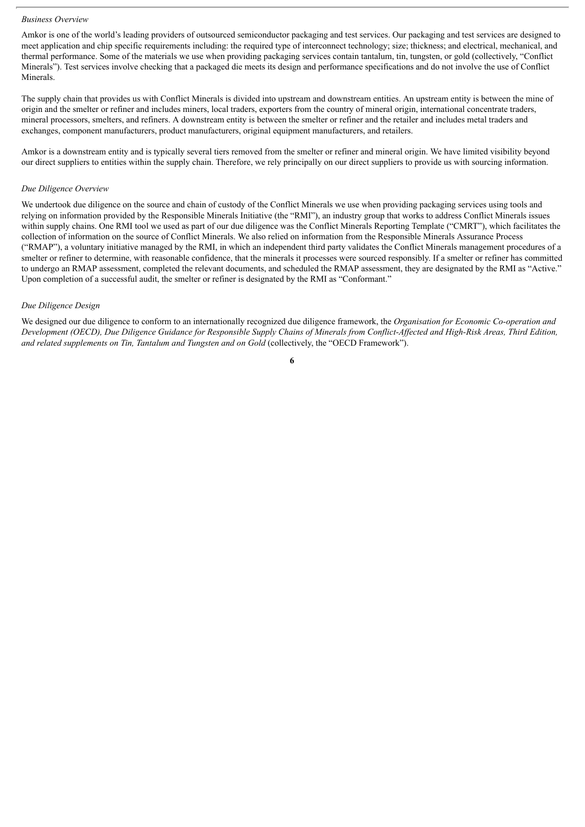#### *Business Overview*

Amkor is one of the world's leading providers of outsourced semiconductor packaging and test services. Our packaging and test services are designed to meet application and chip specific requirements including: the required type of interconnect technology; size; thickness; and electrical, mechanical, and thermal performance. Some of the materials we use when providing packaging services contain tantalum, tin, tungsten, or gold (collectively, "Conflict Minerals"). Test services involve checking that a packaged die meets its design and performance specifications and do not involve the use of Conflict Minerals.

The supply chain that provides us with Conflict Minerals is divided into upstream and downstream entities. An upstream entity is between the mine of origin and the smelter or refiner and includes miners, local traders, exporters from the country of mineral origin, international concentrate traders, mineral processors, smelters, and refiners. A downstream entity is between the smelter or refiner and the retailer and includes metal traders and exchanges, component manufacturers, product manufacturers, original equipment manufacturers, and retailers.

Amkor is a downstream entity and is typically several tiers removed from the smelter or refiner and mineral origin. We have limited visibility beyond our direct suppliers to entities within the supply chain. Therefore, we rely principally on our direct suppliers to provide us with sourcing information.

#### *Due Diligence Overview*

We undertook due diligence on the source and chain of custody of the Conflict Minerals we use when providing packaging services using tools and relying on information provided by the Responsible Minerals Initiative (the "RMI"), an industry group that works to address Conflict Minerals issues within supply chains. One RMI tool we used as part of our due diligence was the Conflict Minerals Reporting Template ("CMRT"), which facilitates the collection of information on the source of Conflict Minerals. We also relied on information from the Responsible Minerals Assurance Process ("RMAP"), a voluntary initiative managed by the RMI, in which an independent third party validates the Conflict Minerals management procedures of a smelter or refiner to determine, with reasonable confidence, that the minerals it processes were sourced responsibly. If a smelter or refiner has committed to undergo an RMAP assessment, completed the relevant documents, and scheduled the RMAP assessment, they are designated by the RMI as "Active." Upon completion of a successful audit, the smelter or refiner is designated by the RMI as "Conformant."

#### *Due Diligence Design*

We designed our due diligence to conform to an internationally recognized due diligence framework, the *Organisation for Economic Co-operation and* Development (OECD), Due Diligence Guidance for Responsible Supply Chains of Minerals from Conflict-Affected and High-Risk Areas, Third Edition, *and related supplements on Tin, Tantalum and Tungsten and on Gold* (collectively, the "OECD Framework").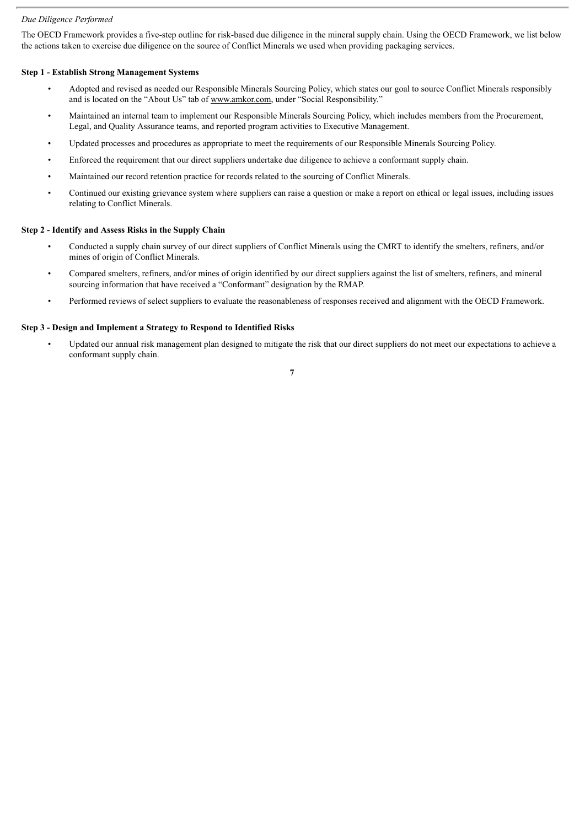#### *Due Diligence Performed*

The OECD Framework provides a five-step outline for risk-based due diligence in the mineral supply chain. Using the OECD Framework, we list below the actions taken to exercise due diligence on the source of Conflict Minerals we used when providing packaging services.

#### **Step 1 - Establish Strong Management Systems**

- Adopted and revised as needed our Responsible Minerals Sourcing Policy, which states our goal to source Conflict Minerals responsibly and is located on the "About Us" tab of www.amkor.com, under "Social Responsibility."
- Maintained an internal team to implement our Responsible Minerals Sourcing Policy, which includes members from the Procurement, Legal, and Quality Assurance teams, and reported program activities to Executive Management.
- Updated processes and procedures as appropriate to meet the requirements of our Responsible Minerals Sourcing Policy.
- Enforced the requirement that our direct suppliers undertake due diligence to achieve a conformant supply chain.
- Maintained our record retention practice for records related to the sourcing of Conflict Minerals.
- Continued our existing grievance system where suppliers can raise a question or make a report on ethical or legal issues, including issues relating to Conflict Minerals.

#### **Step 2 - Identify and Assess Risks in the Supply Chain**

- Conducted a supply chain survey of our direct suppliers of Conflict Minerals using the CMRT to identify the smelters, refiners, and/or mines of origin of Conflict Minerals.
- Compared smelters, refiners, and/or mines of origin identified by our direct suppliers against the list of smelters, refiners, and mineral sourcing information that have received a "Conformant" designation by the RMAP.
- Performed reviews of select suppliers to evaluate the reasonableness of responses received and alignment with the OECD Framework.

#### **Step 3 - Design and Implement a Strategy to Respond to Identified Risks**

• Updated our annual risk management plan designed to mitigate the risk that our direct suppliers do not meet our expectations to achieve a conformant supply chain.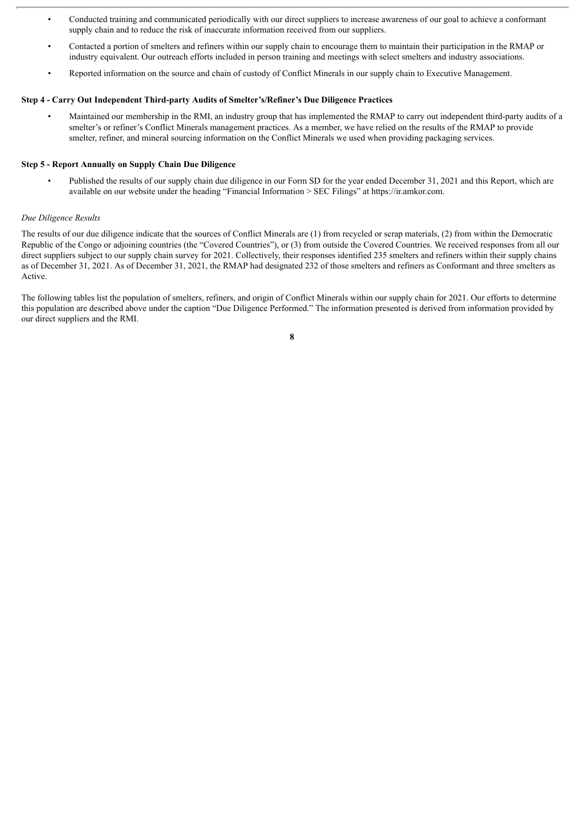- Conducted training and communicated periodically with our direct suppliers to increase awareness of our goal to achieve a conformant supply chain and to reduce the risk of inaccurate information received from our suppliers.
- Contacted a portion of smelters and refiners within our supply chain to encourage them to maintain their participation in the RMAP or industry equivalent. Our outreach efforts included in person training and meetings with select smelters and industry associations.
- Reported information on the source and chain of custody of Conflict Minerals in our supply chain to Executive Management.

#### **Step 4 - Carry Out Independent Third-party Audits of Smelter's/Refiner's Due Diligence Practices**

• Maintained our membership in the RMI, an industry group that has implemented the RMAP to carry out independent third-party audits of a smelter's or refiner's Conflict Minerals management practices. As a member, we have relied on the results of the RMAP to provide smelter, refiner, and mineral sourcing information on the Conflict Minerals we used when providing packaging services.

#### **Step 5 - Report Annually on Supply Chain Due Diligence**

• Published the results of our supply chain due diligence in our Form SD for the year ended December 31, 2021 and this Report, which are available on our website under the heading "Financial Information > SEC Filings" at https://ir.amkor.com.

#### *Due Diligence Results*

The results of our due diligence indicate that the sources of Conflict Minerals are (1) from recycled or scrap materials, (2) from within the Democratic Republic of the Congo or adjoining countries (the "Covered Countries"), or (3) from outside the Covered Countries. We received responses from all our direct suppliers subject to our supply chain survey for 2021. Collectively, their responses identified 235 smelters and refiners within their supply chains as of December 31, 2021. As of December 31, 2021, the RMAP had designated 232 of those smelters and refiners as Conformant and three smelters as Active.

The following tables list the population of smelters, refiners, and origin of Conflict Minerals within our supply chain for 2021. Our efforts to determine this population are described above under the caption "Due Diligence Performed." The information presented is derived from information provided by our direct suppliers and the RMI.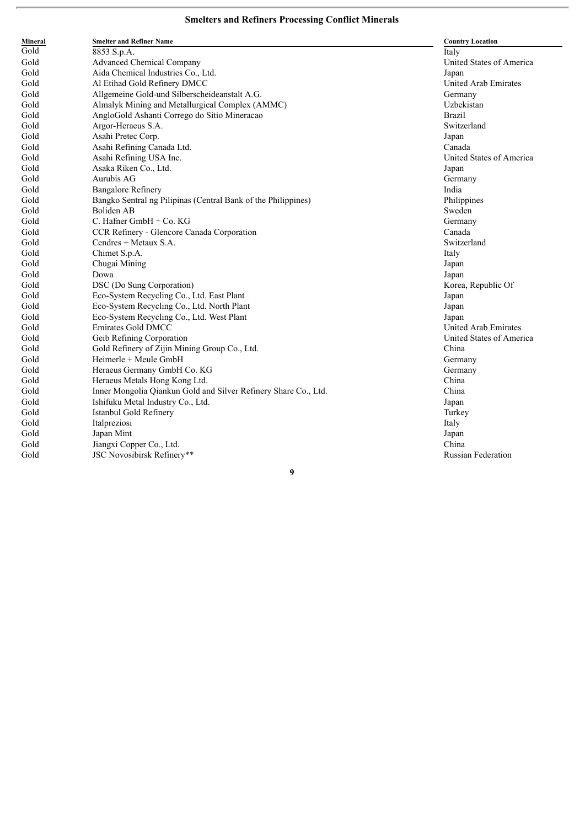| Mineral | <b>Smelter and Refiner Name</b>                                 | <b>Country Location</b>     |
|---------|-----------------------------------------------------------------|-----------------------------|
| Gold    | 8853 S.p.A.                                                     | Italy                       |
| Gold    | <b>Advanced Chemical Company</b>                                | United States of America    |
| Gold    | Aida Chemical Industries Co., Ltd.                              | Japan                       |
| Gold    | Al Etihad Gold Refinery DMCC                                    | United Arab Emirates        |
| Gold    | Allgemeine Gold-und Silberscheideanstalt A.G.                   | Germany                     |
| Gold    | Almalyk Mining and Metallurgical Complex (AMMC)                 | Uzbekistan                  |
| Gold    | AngloGold Ashanti Corrego do Sitio Mineracao                    | <b>Brazil</b>               |
| Gold    | Argor-Heraeus S.A.                                              | Switzerland                 |
| Gold    | Asahi Pretec Corp.                                              | Japan                       |
| Gold    | Asahi Refining Canada Ltd.                                      | Canada                      |
| Gold    | Asahi Refining USA Inc.                                         | United States of America    |
| Gold    | Asaka Riken Co., Ltd.                                           | Japan                       |
| Gold    | Aurubis AG                                                      | Germany                     |
| Gold    | <b>Bangalore Refinery</b>                                       | India                       |
| Gold    | Bangko Sentral ng Pilipinas (Central Bank of the Philippines)   | Philippines                 |
| Gold    | <b>Boliden AB</b>                                               | Sweden                      |
| Gold    | C. Hafner GmbH + Co. KG                                         | Germany                     |
| Gold    | CCR Refinery - Glencore Canada Corporation                      | Canada                      |
| Gold    | Cendres + Metaux S.A.                                           | Switzerland                 |
| Gold    | Chimet S.p.A.                                                   | Italy                       |
| Gold    | Chugai Mining                                                   | Japan                       |
| Gold    | Dowa                                                            | Japan                       |
| Gold    | DSC (Do Sung Corporation)                                       | Korea, Republic Of          |
| Gold    | Eco-System Recycling Co., Ltd. East Plant                       | Japan                       |
| Gold    | Eco-System Recycling Co., Ltd. North Plant                      | Japan                       |
| Gold    | Eco-System Recycling Co., Ltd. West Plant                       | Japan                       |
| Gold    | <b>Emirates Gold DMCC</b>                                       | <b>United Arab Emirates</b> |
| Gold    | Geib Refining Corporation                                       | United States of America    |
| Gold    | Gold Refinery of Zijin Mining Group Co., Ltd.                   | China                       |
| Gold    | Heimerle + Meule GmbH                                           | Germany                     |
| Gold    | Heraeus Germany GmbH Co. KG                                     | Germany                     |
| Gold    | Heraeus Metals Hong Kong Ltd.                                   | China                       |
| Gold    | Inner Mongolia Qiankun Gold and Silver Refinery Share Co., Ltd. | China                       |
| Gold    | Ishifuku Metal Industry Co., Ltd.                               | Japan                       |
| Gold    | Istanbul Gold Refinery                                          | Turkey                      |
| Gold    | Italpreziosi                                                    | Italy                       |
| Gold    | Japan Mint                                                      | Japan                       |
| Gold    | Jiangxi Copper Co., Ltd.                                        | China                       |
| Gold    | JSC Novosibirsk Refinery**                                      | <b>Russian Federation</b>   |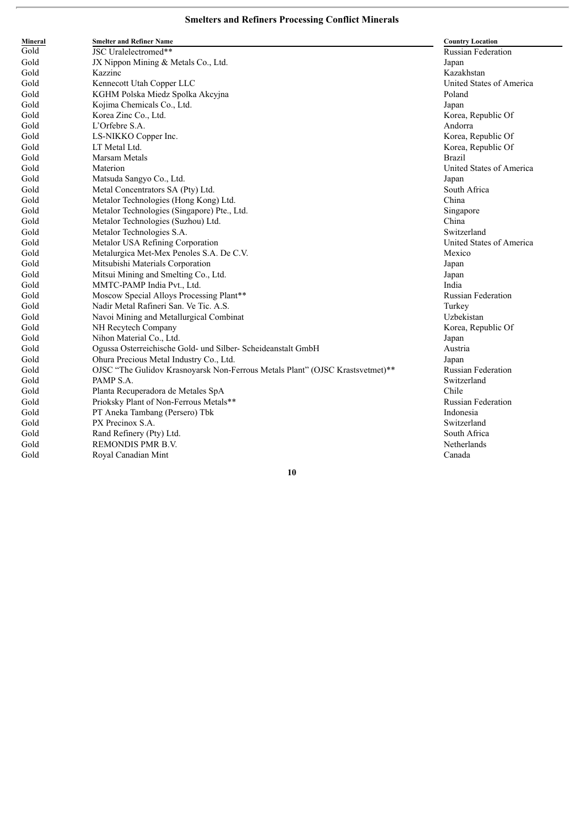| Mineral | <b>Smelter and Refiner Name</b>                                               | <b>Country Location</b>   |
|---------|-------------------------------------------------------------------------------|---------------------------|
| Gold    | JSC Uralelectromed**                                                          | <b>Russian Federation</b> |
| Gold    | JX Nippon Mining & Metals Co., Ltd.                                           | Japan                     |
| Gold    | Kazzinc                                                                       | Kazakhstan                |
| Gold    | Kennecott Utah Copper LLC                                                     | United States of America  |
| Gold    | KGHM Polska Miedz Spolka Akcyjna                                              | Poland                    |
| Gold    | Kojima Chemicals Co., Ltd.                                                    | Japan                     |
| Gold    | Korea Zinc Co., Ltd.                                                          | Korea, Republic Of        |
| Gold    | L'Orfebre S.A.                                                                | Andorra                   |
| Gold    | LS-NIKKO Copper Inc.                                                          | Korea, Republic Of        |
| Gold    | LT Metal Ltd.                                                                 | Korea, Republic Of        |
| Gold    | <b>Marsam Metals</b>                                                          | <b>Brazil</b>             |
| Gold    | Materion                                                                      | United States of America  |
| Gold    | Matsuda Sangyo Co., Ltd.                                                      | Japan                     |
| Gold    | Metal Concentrators SA (Pty) Ltd.                                             | South Africa              |
| Gold    | Metalor Technologies (Hong Kong) Ltd.                                         | China                     |
| Gold    | Metalor Technologies (Singapore) Pte., Ltd.                                   | Singapore                 |
| Gold    | Metalor Technologies (Suzhou) Ltd.                                            | China                     |
| Gold    | Metalor Technologies S.A.                                                     | Switzerland               |
| Gold    | Metalor USA Refining Corporation                                              | United States of America  |
| Gold    | Metalurgica Met-Mex Penoles S.A. De C.V.                                      | Mexico                    |
| Gold    | Mitsubishi Materials Corporation                                              | Japan                     |
| Gold    | Mitsui Mining and Smelting Co., Ltd.                                          | Japan                     |
| Gold    | MMTC-PAMP India Pvt., Ltd.                                                    | India                     |
| Gold    | Moscow Special Alloys Processing Plant**                                      | <b>Russian Federation</b> |
| Gold    | Nadir Metal Rafineri San. Ve Tic. A.S.                                        | Turkey                    |
| Gold    | Navoi Mining and Metallurgical Combinat                                       | Uzbekistan                |
| Gold    | NH Recytech Company                                                           | Korea, Republic Of        |
| Gold    | Nihon Material Co., Ltd.                                                      | Japan                     |
| Gold    | Ogussa Osterreichische Gold- und Silber- Scheideanstalt GmbH                  | Austria                   |
| Gold    | Ohura Precious Metal Industry Co., Ltd.                                       | Japan                     |
| Gold    | OJSC "The Gulidov Krasnoyarsk Non-Ferrous Metals Plant" (OJSC Krastsvetmet)** | <b>Russian Federation</b> |
| Gold    | PAMP S.A.                                                                     | Switzerland               |
| Gold    | Planta Recuperadora de Metales SpA                                            | Chile                     |
| Gold    | Prioksky Plant of Non-Ferrous Metals**                                        | <b>Russian Federation</b> |
| Gold    | PT Aneka Tambang (Persero) Tbk                                                | Indonesia                 |
| Gold    | PX Precinox S.A.                                                              | Switzerland               |
| Gold    | Rand Refinery (Pty) Ltd.                                                      | South Africa              |
| Gold    | <b>REMONDIS PMR B.V.</b>                                                      | Netherlands               |
| Gold    | Royal Canadian Mint                                                           | Canada                    |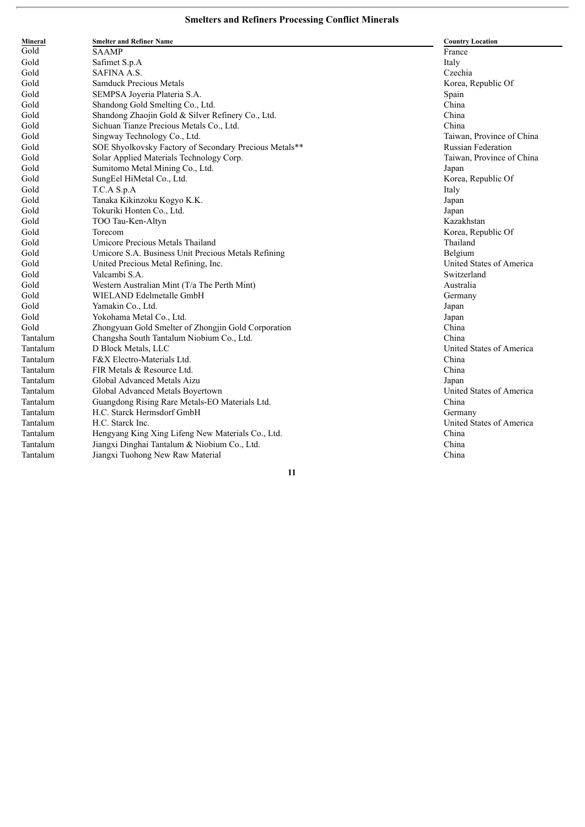| Mineral  | <b>Smelter and Refiner Name</b>                        | <b>Country Location</b>   |
|----------|--------------------------------------------------------|---------------------------|
| Gold     | <b>SAAMP</b>                                           | France                    |
| Gold     | Safimet S.p.A                                          | Italy                     |
| Gold     | SAFINA A.S.                                            | Czechia                   |
| Gold     | <b>Samduck Precious Metals</b>                         | Korea, Republic Of        |
| Gold     | SEMPSA Joyeria Plateria S.A.                           | Spain                     |
| Gold     | Shandong Gold Smelting Co., Ltd.                       | China                     |
| Gold     | Shandong Zhaojin Gold & Silver Refinery Co., Ltd.      | China                     |
| Gold     | Sichuan Tianze Precious Metals Co., Ltd.               | China                     |
| Gold     | Singway Technology Co., Ltd.                           | Taiwan, Province of China |
| Gold     | SOE Shyolkovsky Factory of Secondary Precious Metals** | <b>Russian Federation</b> |
| Gold     | Solar Applied Materials Technology Corp.               | Taiwan, Province of China |
| Gold     | Sumitomo Metal Mining Co., Ltd.                        | Japan                     |
| Gold     | SungEel HiMetal Co., Ltd.                              | Korea, Republic Of        |
| Gold     | T.C.A S.p.A                                            | Italy                     |
| Gold     | Tanaka Kikinzoku Kogyo K.K.                            | Japan                     |
| Gold     | Tokuriki Honten Co., Ltd.                              | Japan                     |
| Gold     | TOO Tau-Ken-Altyn                                      | Kazakhstan                |
| Gold     | Torecom                                                | Korea, Republic Of        |
| Gold     | Umicore Precious Metals Thailand                       | Thailand                  |
| Gold     | Umicore S.A. Business Unit Precious Metals Refining    | Belgium                   |
| Gold     | United Precious Metal Refining, Inc.                   | United States of America  |
| Gold     | Valcambi S.A.                                          | Switzerland               |
| Gold     | Western Australian Mint (T/a The Perth Mint)           | Australia                 |
| Gold     | WIELAND Edelmetalle GmbH                               | Germany                   |
| Gold     | Yamakin Co., Ltd.                                      | Japan                     |
| Gold     | Yokohama Metal Co., Ltd.                               | Japan                     |
| Gold     | Zhongyuan Gold Smelter of Zhongjin Gold Corporation    | China                     |
| Tantalum | Changsha South Tantalum Niobium Co., Ltd.              | China                     |
| Tantalum | D Block Metals, LLC                                    | United States of America  |
| Tantalum | F&X Electro-Materials Ltd.                             | China                     |
| Tantalum | FIR Metals & Resource Ltd.                             | China                     |
| Tantalum | Global Advanced Metals Aizu                            | Japan                     |
| Tantalum | Global Advanced Metals Boyertown                       | United States of America  |
| Tantalum | Guangdong Rising Rare Metals-EO Materials Ltd.         | China                     |
| Tantalum | H.C. Starck Hermsdorf GmbH                             | Germany                   |
| Tantalum | H.C. Starck Inc.                                       | United States of America  |
| Tantalum | Hengyang King Xing Lifeng New Materials Co., Ltd.      | China                     |
| Tantalum | Jiangxi Dinghai Tantalum & Niobium Co., Ltd.           | China                     |
| Tantalum | Jiangxi Tuohong New Raw Material                       | China                     |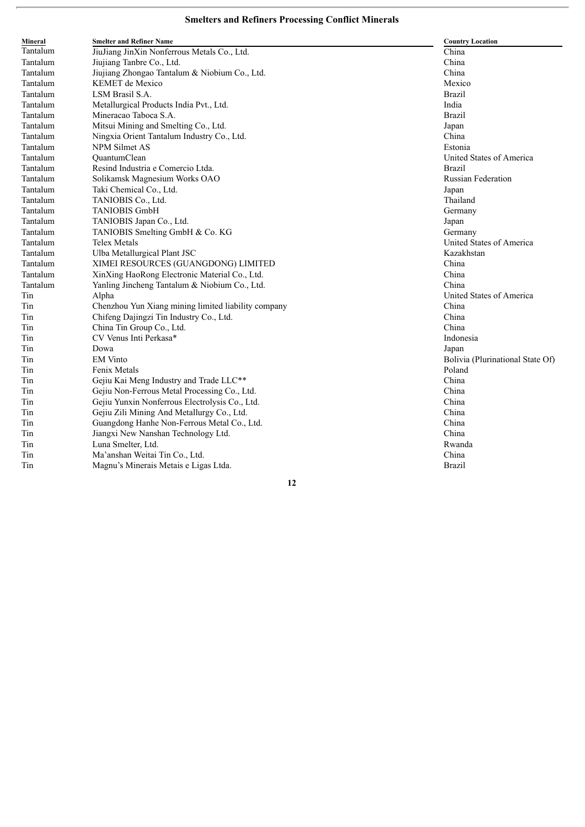| Mineral  | <b>Smelter and Refiner Name</b>                     | <b>Country Location</b>          |
|----------|-----------------------------------------------------|----------------------------------|
| Tantalum | JiuJiang JinXin Nonferrous Metals Co., Ltd.         | China                            |
| Tantalum | Jiujiang Tanbre Co., Ltd.                           | China                            |
| Tantalum | Jiujiang Zhongao Tantalum & Niobium Co., Ltd.       | China                            |
| Tantalum | <b>KEMET</b> de Mexico                              | Mexico                           |
| Tantalum | LSM Brasil S.A.                                     | <b>Brazil</b>                    |
| Tantalum | Metallurgical Products India Pvt., Ltd.             | India                            |
| Tantalum | Mineracao Taboca S.A.                               | Brazil                           |
| Tantalum | Mitsui Mining and Smelting Co., Ltd.                | Japan                            |
| Tantalum | Ningxia Orient Tantalum Industry Co., Ltd.          | China                            |
| Tantalum | <b>NPM Silmet AS</b>                                | Estonia                          |
| Tantalum | OuantumClean                                        | United States of America         |
| Tantalum | Resind Industria e Comercio Ltda.                   | <b>Brazil</b>                    |
| Tantalum | Solikamsk Magnesium Works OAO                       | Russian Federation               |
| Tantalum | Taki Chemical Co., Ltd.                             | Japan                            |
| Tantalum | TANIOBIS Co., Ltd.                                  | Thailand                         |
| Tantalum | <b>TANIOBIS GmbH</b>                                | Germany                          |
| Tantalum | TANIOBIS Japan Co., Ltd.                            | Japan                            |
| Tantalum | TANIOBIS Smelting GmbH & Co. KG                     | Germany                          |
| Tantalum | <b>Telex Metals</b>                                 | United States of America         |
| Tantalum | Ulba Metallurgical Plant JSC                        | Kazakhstan                       |
| Tantalum | XIMEI RESOURCES (GUANGDONG) LIMITED                 | China                            |
| Tantalum | XinXing HaoRong Electronic Material Co., Ltd.       | China                            |
| Tantalum | Yanling Jincheng Tantalum & Niobium Co., Ltd.       | China                            |
| Tin      | Alpha                                               | United States of America         |
| Tin      | Chenzhou Yun Xiang mining limited liability company | China                            |
| Tin      | Chifeng Dajingzi Tin Industry Co., Ltd.             | China                            |
| Tin      | China Tin Group Co., Ltd.                           | China                            |
| Tin      | CV Venus Inti Perkasa*                              | Indonesia                        |
| Tin      | Dowa                                                | Japan                            |
| Tin      | <b>EM</b> Vinto                                     | Bolivia (Plurinational State Of) |
| Tin      | Fenix Metals                                        | Poland                           |
| Tin      | Gejiu Kai Meng Industry and Trade LLC**             | China                            |
| Tin      | Gejiu Non-Ferrous Metal Processing Co., Ltd.        | China                            |
| Tin      | Gejiu Yunxin Nonferrous Electrolysis Co., Ltd.      | China                            |
| Tin      | Gejiu Zili Mining And Metallurgy Co., Ltd.          | China                            |
| Tin      | Guangdong Hanhe Non-Ferrous Metal Co., Ltd.         | China                            |
| Tin      | Jiangxi New Nanshan Technology Ltd.                 | China                            |
| Tin      | Luna Smelter, Ltd.                                  | Rwanda                           |
| Tin      | Ma'anshan Weitai Tin Co., Ltd.                      | China                            |
| Tin      | Magnu's Minerais Metais e Ligas Ltda.               | Brazil                           |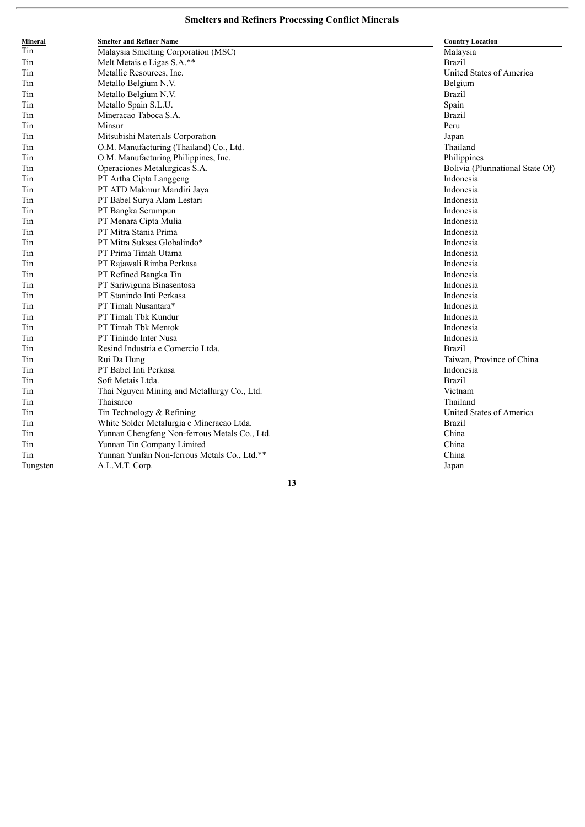| Mineral  | <b>Smelter and Refiner Name</b>               | <b>Country Location</b>          |
|----------|-----------------------------------------------|----------------------------------|
| Tin      | Malaysia Smelting Corporation (MSC)           | Malaysia                         |
| Tin      | Melt Metais e Ligas S.A.**                    | <b>Brazil</b>                    |
| Tin      | Metallic Resources, Inc.                      | United States of America         |
| Tin      | Metallo Belgium N.V.                          | Belgium                          |
| Tin      | Metallo Belgium N.V.                          | <b>Brazil</b>                    |
| Tin      | Metallo Spain S.L.U.                          | Spain                            |
| Tin      | Mineracao Taboca S.A.                         | <b>Brazil</b>                    |
| Tin      | Minsur                                        | Peru                             |
| Tin      | Mitsubishi Materials Corporation              | Japan                            |
| Tin      | O.M. Manufacturing (Thailand) Co., Ltd.       | Thailand                         |
| Tin      | O.M. Manufacturing Philippines, Inc.          | Philippines                      |
| Tin      | Operaciones Metalurgicas S.A.                 | Bolivia (Plurinational State Of) |
| Tin      | PT Artha Cipta Langgeng                       | Indonesia                        |
| Tin      | PT ATD Makmur Mandiri Jaya                    | Indonesia                        |
| Tin      | PT Babel Surya Alam Lestari                   | Indonesia                        |
| Tin      | PT Bangka Serumpun                            | Indonesia                        |
| Tin      | PT Menara Cipta Mulia                         | Indonesia                        |
| Tin      | PT Mitra Stania Prima                         | Indonesia                        |
| Tin      | PT Mitra Sukses Globalindo*                   | Indonesia                        |
| Tin      | PT Prima Timah Utama                          | Indonesia                        |
| Tin      | PT Rajawali Rimba Perkasa                     | Indonesia                        |
| Tin      | PT Refined Bangka Tin                         | Indonesia                        |
| Tin      | PT Sariwiguna Binasentosa                     | Indonesia                        |
| Tin      | PT Stanindo Inti Perkasa                      | Indonesia                        |
| Tin      | PT Timah Nusantara*                           | Indonesia                        |
| Tin      | PT Timah Tbk Kundur                           | Indonesia                        |
| Tin      | PT Timah Tbk Mentok                           | Indonesia                        |
| Tin      | PT Tinindo Inter Nusa                         | Indonesia                        |
| Tin      | Resind Industria e Comercio Ltda.             | <b>Brazil</b>                    |
| Tin      | Rui Da Hung                                   | Taiwan, Province of China        |
| Tin      | PT Babel Inti Perkasa                         | Indonesia                        |
| Tin      | Soft Metais Ltda.                             | <b>Brazil</b>                    |
| Tin      | Thai Nguyen Mining and Metallurgy Co., Ltd.   | Vietnam                          |
| Tin      | Thaisarco                                     | Thailand                         |
| Tin      | Tin Technology & Refining                     | United States of America         |
| Tin      | White Solder Metalurgia e Mineracao Ltda.     | <b>Brazil</b>                    |
| Tin      | Yunnan Chengfeng Non-ferrous Metals Co., Ltd. | China                            |
| Tin      | Yunnan Tin Company Limited                    | China                            |
| Tin      | Yunnan Yunfan Non-ferrous Metals Co., Ltd.**  | China                            |
| Tungsten | A.L.M.T. Corp.                                | Japan                            |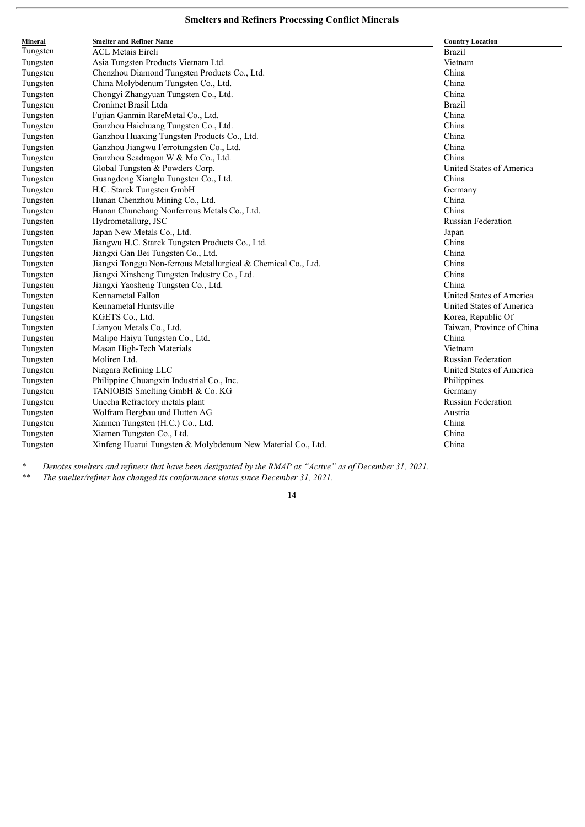| Mineral  | <b>Smelter and Refiner Name</b>                               | <b>Country Location</b>   |
|----------|---------------------------------------------------------------|---------------------------|
| Tungsten | <b>ACL Metais Eireli</b>                                      | <b>Brazil</b>             |
| Tungsten | Asia Tungsten Products Vietnam Ltd.                           | Vietnam                   |
| Tungsten | Chenzhou Diamond Tungsten Products Co., Ltd.                  | China                     |
| Tungsten | China Molybdenum Tungsten Co., Ltd.                           | China                     |
| Tungsten | Chongyi Zhangyuan Tungsten Co., Ltd.                          | China                     |
| Tungsten | Cronimet Brasil Ltda                                          | <b>Brazil</b>             |
| Tungsten | Fujian Ganmin RareMetal Co., Ltd.                             | China                     |
| Tungsten | Ganzhou Haichuang Tungsten Co., Ltd.                          | China                     |
| Tungsten | Ganzhou Huaxing Tungsten Products Co., Ltd.                   | China                     |
| Tungsten | Ganzhou Jiangwu Ferrotungsten Co., Ltd.                       | China                     |
| Tungsten | Ganzhou Seadragon W & Mo Co., Ltd.                            | China                     |
| Tungsten | Global Tungsten & Powders Corp.                               | United States of America  |
| Tungsten | Guangdong Xianglu Tungsten Co., Ltd.                          | China                     |
| Tungsten | H.C. Starck Tungsten GmbH                                     | Germany                   |
| Tungsten | Hunan Chenzhou Mining Co., Ltd.                               | China                     |
| Tungsten | Hunan Chunchang Nonferrous Metals Co., Ltd.                   | China                     |
| Tungsten | Hydrometallurg, JSC                                           | <b>Russian Federation</b> |
| Tungsten | Japan New Metals Co., Ltd.                                    | Japan                     |
| Tungsten | Jiangwu H.C. Starck Tungsten Products Co., Ltd.               | China                     |
| Tungsten | Jiangxi Gan Bei Tungsten Co., Ltd.                            | China                     |
| Tungsten | Jiangxi Tonggu Non-ferrous Metallurgical & Chemical Co., Ltd. | China                     |
| Tungsten | Jiangxi Xinsheng Tungsten Industry Co., Ltd.                  | China                     |
| Tungsten | Jiangxi Yaosheng Tungsten Co., Ltd.                           | China                     |
| Tungsten | Kennametal Fallon                                             | United States of America  |
| Tungsten | Kennametal Huntsville                                         | United States of America  |
| Tungsten | KGETS Co., Ltd.                                               | Korea, Republic Of        |
| Tungsten | Lianyou Metals Co., Ltd.                                      | Taiwan, Province of China |
| Tungsten | Malipo Haiyu Tungsten Co., Ltd.                               | China                     |
| Tungsten | Masan High-Tech Materials                                     | Vietnam                   |
| Tungsten | Moliren Ltd.                                                  | <b>Russian Federation</b> |
| Tungsten | Niagara Refining LLC                                          | United States of America  |
| Tungsten | Philippine Chuangxin Industrial Co., Inc.                     | Philippines               |
| Tungsten | TANIOBIS Smelting GmbH & Co. KG                               | Germany                   |
| Tungsten | Unecha Refractory metals plant                                | <b>Russian Federation</b> |
| Tungsten | Wolfram Bergbau und Hutten AG                                 | Austria                   |
| Tungsten | Xiamen Tungsten (H.C.) Co., Ltd.                              | China                     |
| Tungsten | Xiamen Tungsten Co., Ltd.                                     | China                     |
| Tungsten | Xinfeng Huarui Tungsten & Molybdenum New Material Co., Ltd.   | China                     |

\* Denotes smelters and refiners that have been designated by the RMAP as "Active" as of December 31, 2021.

*\*\* The smelter/refiner has changed its conformance status since December 31, 2021.*